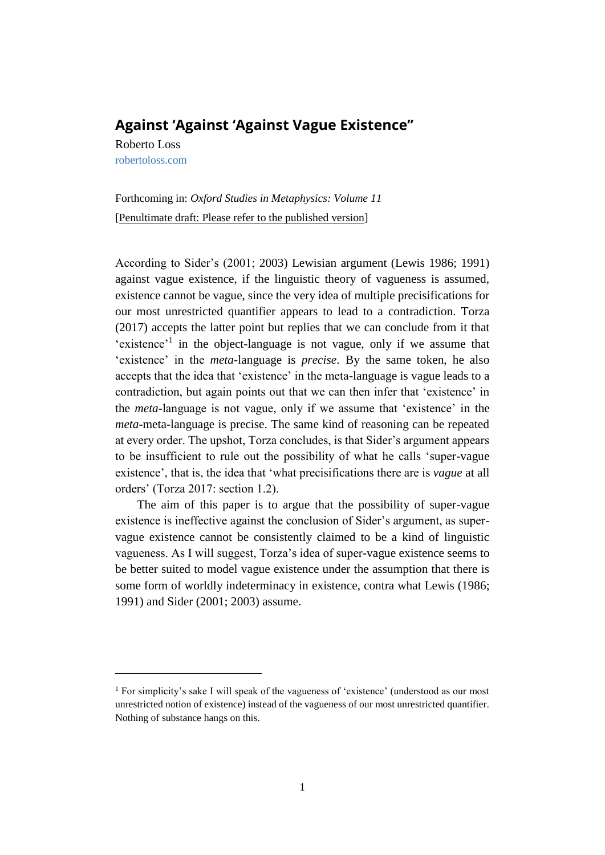# **Against 'Against 'Against Vague Existence''**

Roberto Loss <robertoloss.com>

l

Forthcoming in: *Oxford Studies in Metaphysics: Volume 11* [Penultimate draft: Please refer to the published version]

According to Sider's (2001; 2003) Lewisian argument (Lewis 1986; 1991) against vague existence, if the linguistic theory of vagueness is assumed, existence cannot be vague, since the very idea of multiple precisifications for our most unrestricted quantifier appears to lead to a contradiction. Torza (2017) accepts the latter point but replies that we can conclude from it that 'existence'<sup>1</sup> in the object-language is not vague, only if we assume that 'existence' in the *meta*-language is *precise*. By the same token, he also accepts that the idea that 'existence' in the meta-language is vague leads to a contradiction, but again points out that we can then infer that 'existence' in the *meta*-language is not vague, only if we assume that 'existence' in the *meta-*meta-language is precise. The same kind of reasoning can be repeated at every order. The upshot, Torza concludes, is that Sider's argument appears to be insufficient to rule out the possibility of what he calls 'super-vague existence', that is, the idea that 'what precisifications there are is *vague* at all orders' (Torza 2017: section 1.2).

The aim of this paper is to argue that the possibility of super-vague existence is ineffective against the conclusion of Sider's argument, as supervague existence cannot be consistently claimed to be a kind of linguistic vagueness. As I will suggest, Torza's idea of super-vague existence seems to be better suited to model vague existence under the assumption that there is some form of worldly indeterminacy in existence, contra what Lewis (1986; 1991) and Sider (2001; 2003) assume.

<sup>&</sup>lt;sup>1</sup> For simplicity's sake I will speak of the vagueness of 'existence' (understood as our most unrestricted notion of existence) instead of the vagueness of our most unrestricted quantifier. Nothing of substance hangs on this.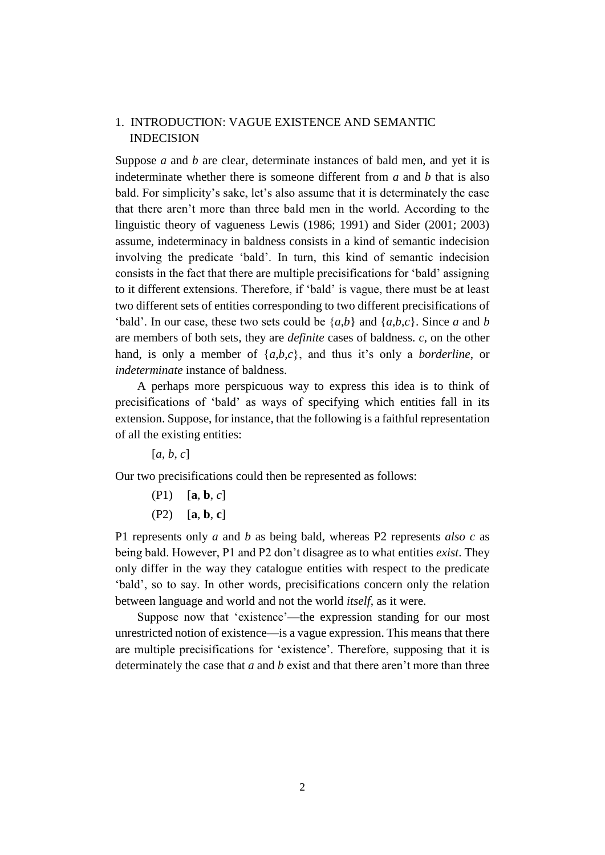## 1. INTRODUCTION: VAGUE EXISTENCE AND SEMANTIC INDECISION

Suppose *a* and *b* are clear, determinate instances of bald men, and yet it is indeterminate whether there is someone different from *a* and *b* that is also bald. For simplicity's sake, let's also assume that it is determinately the case that there aren't more than three bald men in the world. According to the linguistic theory of vagueness Lewis (1986; 1991) and Sider (2001; 2003) assume, indeterminacy in baldness consists in a kind of semantic indecision involving the predicate 'bald'. In turn, this kind of semantic indecision consists in the fact that there are multiple precisifications for 'bald' assigning to it different extensions. Therefore, if 'bald' is vague, there must be at least two different sets of entities corresponding to two different precisifications of 'bald'. In our case, these two sets could be  $\{a,b\}$  and  $\{a,b,c\}$ . Since *a* and *b* are members of both sets, they are *definite* cases of baldness. *c*, on the other hand, is only a member of {*a*,*b*,*c*}, and thus it's only a *borderline*, or *indeterminate* instance of baldness.

A perhaps more perspicuous way to express this idea is to think of precisifications of 'bald' as ways of specifying which entities fall in its extension. Suppose, for instance, that the following is a faithful representation of all the existing entities:

[*a*, *b*, *c*]

Our two precisifications could then be represented as follows:

- (P1) [**a**, **b**, *c*]
- (P2) [**a**, **b**, **c**]

P1 represents only *a* and *b* as being bald, whereas P2 represents *also c* as being bald. However, P1 and P2 don't disagree as to what entities *exist*. They only differ in the way they catalogue entities with respect to the predicate 'bald', so to say. In other words, precisifications concern only the relation between language and world and not the world *itself*, as it were.

Suppose now that 'existence'—the expression standing for our most unrestricted notion of existence—is a vague expression. This means that there are multiple precisifications for 'existence'. Therefore, supposing that it is determinately the case that *a* and *b* exist and that there aren't more than three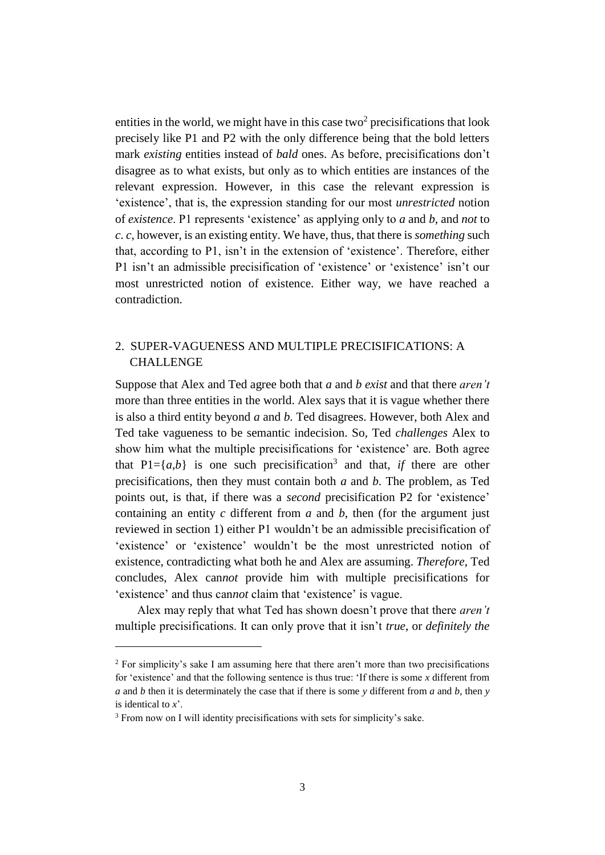entities in the world, we might have in this case two<sup>2</sup> precisifications that look precisely like P1 and P2 with the only difference being that the bold letters mark *existing* entities instead of *bald* ones. As before, precisifications don't disagree as to what exists, but only as to which entities are instances of the relevant expression. However, in this case the relevant expression is 'existence', that is, the expression standing for our most *unrestricted* notion of *existence*. P1 represents 'existence' as applying only to *a* and *b*, and *not* to *c*. *c*, however, is an existing entity. We have, thus, that there is *something* such that, according to P1, isn't in the extension of 'existence'. Therefore, either P1 isn't an admissible precisification of 'existence' or 'existence' isn't our most unrestricted notion of existence. Either way, we have reached a contradiction.

## 2. SUPER-VAGUENESS AND MULTIPLE PRECISIFICATIONS: A **CHALLENGE**

Suppose that Alex and Ted agree both that *a* and *b exist* and that there *aren't* more than three entities in the world. Alex says that it is vague whether there is also a third entity beyond *a* and *b*. Ted disagrees. However, both Alex and Ted take vagueness to be semantic indecision. So, Ted *challenges* Alex to show him what the multiple precisifications for 'existence' are. Both agree that  $P1 = \{a,b\}$  is one such precisification<sup>3</sup> and that, *if* there are other precisifications, then they must contain both *a* and *b*. The problem, as Ted points out, is that, if there was a *second* precisification P2 for 'existence' containing an entity *c* different from *a* and *b*, then (for the argument just reviewed in section 1) either P1 wouldn't be an admissible precisification of 'existence' or 'existence' wouldn't be the most unrestricted notion of existence, contradicting what both he and Alex are assuming. *Therefore*, Ted concludes, Alex can*not* provide him with multiple precisifications for 'existence' and thus can*not* claim that 'existence' is vague.

Alex may reply that what Ted has shown doesn't prove that there *aren't* multiple precisifications. It can only prove that it isn't *true*, or *definitely the* 

l

 $2$  For simplicity's sake I am assuming here that there aren't more than two precisifications for 'existence' and that the following sentence is thus true: 'If there is some *x* different from *a* and *b* then it is determinately the case that if there is some *y* different from *a* and *b*, then *y*  is identical to *x*'.

<sup>&</sup>lt;sup>3</sup> From now on I will identity precisifications with sets for simplicity's sake.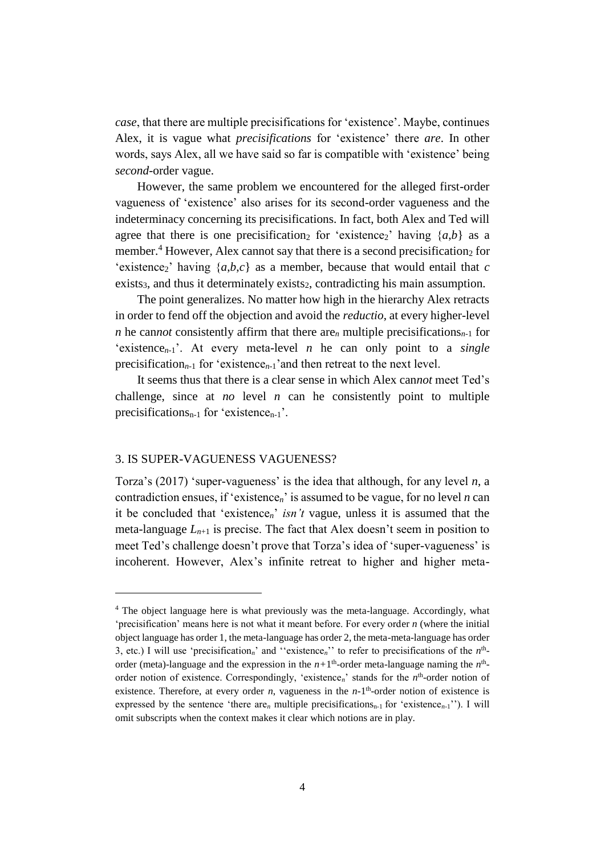*case*, that there are multiple precisifications for 'existence'. Maybe, continues Alex, it is vague what *precisifications* for 'existence' there *are*. In other words, says Alex, all we have said so far is compatible with 'existence' being *second*-order vague.

However, the same problem we encountered for the alleged first-order vagueness of 'existence' also arises for its second-order vagueness and the indeterminacy concerning its precisifications. In fact, both Alex and Ted will agree that there is one precisification<sub>2</sub> for 'existence<sub>2</sub>' having  ${a,b}$  as a member.<sup>4</sup> However, Alex cannot say that there is a second precisification<sub>2</sub> for 'existence<sub>2</sub>' having  ${a,b,c}$  as a member, because that would entail that *c*  $exists_3$ , and thus it determinately exists<sub>2</sub>, contradicting his main assumption.

The point generalizes. No matter how high in the hierarchy Alex retracts in order to fend off the objection and avoid the *reductio*, at every higher-level *n* he cannot consistently affirm that there are<sub>n</sub> multiple precisifications<sub>n-1</sub> for 'existence*n*-1'. At every meta-level *n* he can only point to a *single* precisification<sub>n-1</sub> for 'existence<sub>n-1</sub>' and then retreat to the next level.

It seems thus that there is a clear sense in which Alex can*not* meet Ted's challenge, since at *no* level *n* can he consistently point to multiple precisifications $n-1$  for 'existence $n-1$ '.

#### 3. IS SUPER-VAGUENESS VAGUENESS?

 $\overline{a}$ 

Torza's (2017) 'super-vagueness' is the idea that although, for any level *n*, a contradiction ensues, if 'existence*n*' is assumed to be vague, for no level *n* can it be concluded that 'existence*n*' *isn't* vague, unless it is assumed that the meta-language  $L_{n+1}$  is precise. The fact that Alex doesn't seem in position to meet Ted's challenge doesn't prove that Torza's idea of 'super-vagueness' is incoherent. However, Alex's infinite retreat to higher and higher meta-

<sup>&</sup>lt;sup>4</sup> The object language here is what previously was the meta-language. Accordingly, what 'precisification' means here is not what it meant before. For every order *n* (where the initial object language has order 1, the meta-language has order 2, the meta-meta-language has order 3, etc.) I will use 'precisification<sub>n</sub>' and "existence<sub>n</sub>" to refer to precisifications of the  $n<sup>th</sup>$ order (meta)-language and the expression in the  $n+1<sup>th</sup>$ -order meta-language naming the  $n<sup>th</sup>$ order notion of existence. Correspondingly, 'existence<sub>n</sub>' stands for the *n*<sup>th</sup>-order notion of existence. Therefore, at every order  $n$ , vagueness in the  $n-1$ <sup>th</sup>-order notion of existence is expressed by the sentence 'there are<sub>n</sub> multiple precisifications<sub>n-1</sub> for 'existence<sub>n-1</sub>''). I will omit subscripts when the context makes it clear which notions are in play.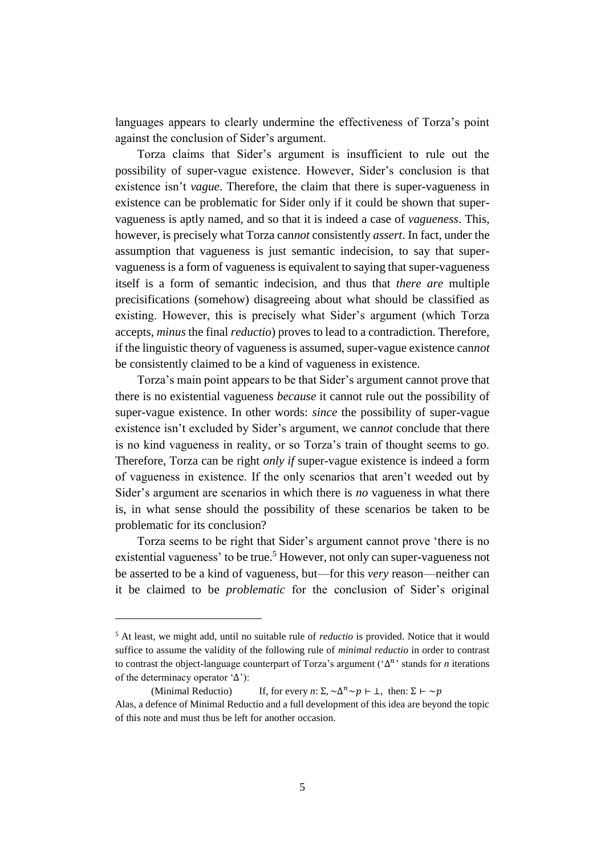languages appears to clearly undermine the effectiveness of Torza's point against the conclusion of Sider's argument.

Torza claims that Sider's argument is insufficient to rule out the possibility of super-vague existence. However, Sider's conclusion is that existence isn't *vague*. Therefore, the claim that there is super-vagueness in existence can be problematic for Sider only if it could be shown that supervagueness is aptly named, and so that it is indeed a case of *vagueness*. This, however, is precisely what Torza can*not* consistently *assert*. In fact, under the assumption that vagueness is just semantic indecision, to say that supervagueness is a form of vagueness is equivalent to saying that super-vagueness itself is a form of semantic indecision, and thus that *there are* multiple precisifications (somehow) disagreeing about what should be classified as existing. However, this is precisely what Sider's argument (which Torza accepts, *minus* the final *reductio*) proves to lead to a contradiction. Therefore, if the linguistic theory of vagueness is assumed, super-vague existence can*not* be consistently claimed to be a kind of vagueness in existence.

Torza's main point appears to be that Sider's argument cannot prove that there is no existential vagueness *because* it cannot rule out the possibility of super-vague existence. In other words: *since* the possibility of super-vague existence isn't excluded by Sider's argument, we can*not* conclude that there is no kind vagueness in reality, or so Torza's train of thought seems to go. Therefore, Torza can be right *only if* super-vague existence is indeed a form of vagueness in existence. If the only scenarios that aren't weeded out by Sider's argument are scenarios in which there is *no* vagueness in what there is, in what sense should the possibility of these scenarios be taken to be problematic for its conclusion?

Torza seems to be right that Sider's argument cannot prove 'there is no existential vagueness' to be true.<sup>5</sup> However, not only can super-vagueness not be asserted to be a kind of vagueness, but—for this *very* reason—neither can it be claimed to be *problematic* for the conclusion of Sider's original

l

<sup>5</sup> At least, we might add, until no suitable rule of *reductio* is provided. Notice that it would suffice to assume the validity of the following rule of *minimal reductio* in order to contrast to contrast the object-language counterpart of Torza's argument ('∆ ' stands for *n* iterations of the determinacy operator '∆'):

<sup>(</sup>Minimal Reductio) If, for every *n*:  $\Sigma$ ,  $\sim \Delta^n \sim p + 1$ , then:  $\Sigma \vdash \sim p$ Alas, a defence of Minimal Reductio and a full development of this idea are beyond the topic of this note and must thus be left for another occasion.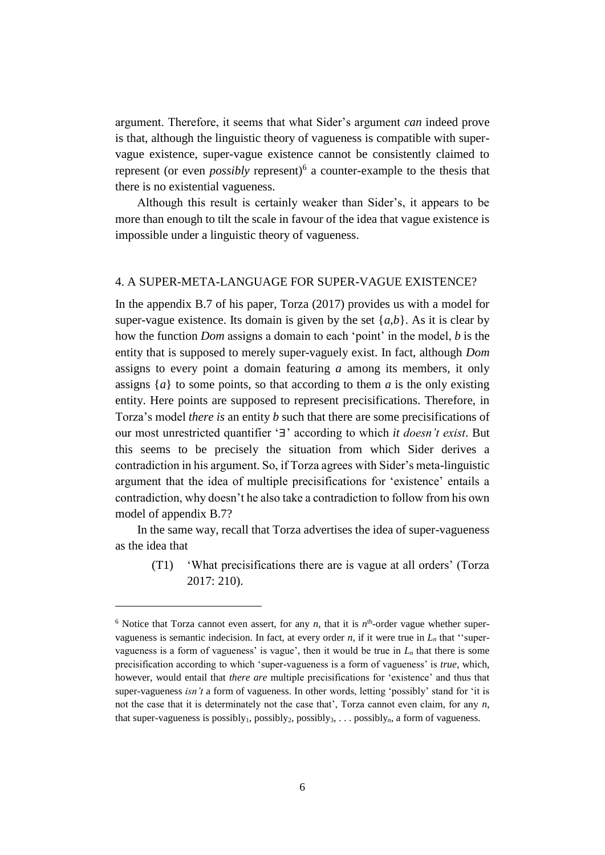argument. Therefore, it seems that what Sider's argument *can* indeed prove is that, although the linguistic theory of vagueness is compatible with supervague existence, super-vague existence cannot be consistently claimed to represent (or even *possibly* represent)<sup>6</sup> a counter-example to the thesis that there is no existential vagueness.

Although this result is certainly weaker than Sider's, it appears to be more than enough to tilt the scale in favour of the idea that vague existence is impossible under a linguistic theory of vagueness.

## 4. A SUPER-META-LANGUAGE FOR SUPER-VAGUE EXISTENCE?

In the appendix B.7 of his paper, Torza (2017) provides us with a model for super-vague existence. Its domain is given by the set  $\{a,b\}$ . As it is clear by how the function *Dom* assigns a domain to each 'point' in the model, *b* is the entity that is supposed to merely super-vaguely exist. In fact, although *Dom* assigns to every point a domain featuring *a* among its members, it only assigns  $\{a\}$  to some points, so that according to them  $a$  is the only existing entity. Here points are supposed to represent precisifications. Therefore, in Torza's model *there is* an entity *b* such that there are some precisifications of our most unrestricted quantifier '∃' according to which *it doesn't exist*. But this seems to be precisely the situation from which Sider derives a contradiction in his argument. So, if Torza agrees with Sider's meta-linguistic argument that the idea of multiple precisifications for 'existence' entails a contradiction, why doesn't he also take a contradiction to follow from his own model of appendix B.7?

In the same way, recall that Torza advertises the idea of super-vagueness as the idea that

(T1) 'What precisifications there are is vague at all orders' (Torza 2017: 210).

 $\overline{\phantom{a}}$ 

 $6$  Notice that Torza cannot even assert, for any *n*, that it is  $n<sup>th</sup>$ -order vague whether supervagueness is semantic indecision. In fact, at every order *n*, if it were true in  $L_n$  that "supervagueness is a form of vagueness' is vague', then it would be true in  $L<sub>n</sub>$  that there is some precisification according to which 'super-vagueness is a form of vagueness' is *true*, which, however, would entail that *there are* multiple precisifications for 'existence' and thus that super-vagueness *isn't* a form of vagueness. In other words, letting 'possibly' stand for 'it is not the case that it is determinately not the case that', Torza cannot even claim, for any *n*, that super-vagueness is possibly<sub>1</sub>, possibly<sub>2</sub>, possibly<sub>3</sub>, ... possibly<sub>n</sub>, a form of vagueness.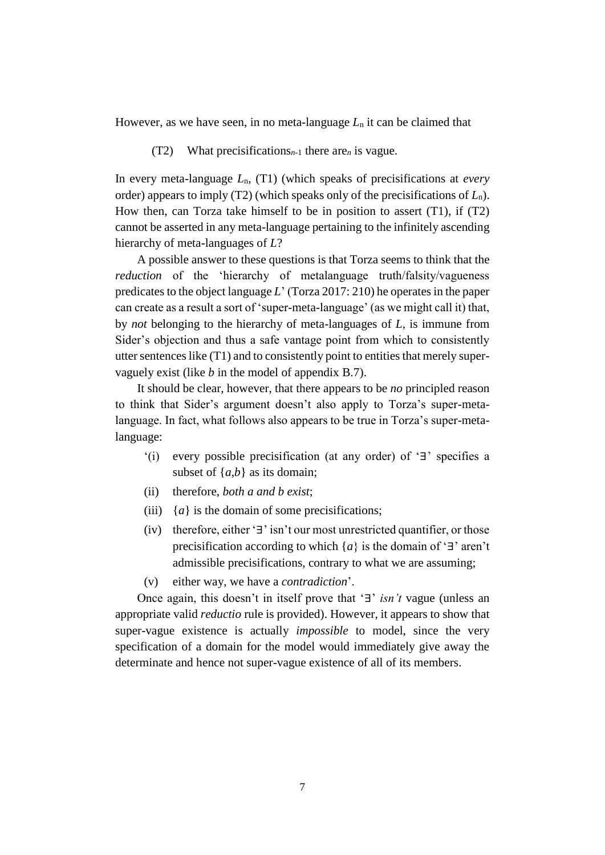However, as we have seen, in no meta-language *L*<sup>n</sup> it can be claimed that

(T2) What precisifications*n*-1 there are*<sup>n</sup>* is vague.

In every meta-language *L*n, (T1) (which speaks of precisifications at *every* order) appears to imply (T2) (which speaks only of the precisifications of *L*n). How then, can Torza take himself to be in position to assert  $(T1)$ , if  $(T2)$ cannot be asserted in any meta-language pertaining to the infinitely ascending hierarchy of meta-languages of *L*?

A possible answer to these questions is that Torza seems to think that the *reduction* of the 'hierarchy of metalanguage truth/falsity/vagueness predicates to the object language *L*' (Torza 2017: 210) he operates in the paper can create as a result a sort of 'super-meta-language' (as we might call it) that, by *not* belonging to the hierarchy of meta-languages of *L*, is immune from Sider's objection and thus a safe vantage point from which to consistently utter sentences like (T1) and to consistently point to entities that merely supervaguely exist (like *b* in the model of appendix B.7).

It should be clear, however, that there appears to be *no* principled reason to think that Sider's argument doesn't also apply to Torza's super-metalanguage. In fact, what follows also appears to be true in Torza's super-metalanguage:

- '(i) every possible precisification (at any order) of '∃' specifies a subset of  $\{a,b\}$  as its domain;
- (ii) therefore, *both a and b exist*;
- (iii)  $\{a\}$  is the domain of some precisifications;
- (iv) therefore, either '∃' isn't our most unrestricted quantifier, or those precisification according to which {*a*} is the domain of '∃' aren't admissible precisifications, contrary to what we are assuming;
- (v) either way, we have a *contradiction*'.

Once again, this doesn't in itself prove that '∃' *isn't* vague (unless an appropriate valid *reductio* rule is provided). However, it appears to show that super-vague existence is actually *impossible* to model, since the very specification of a domain for the model would immediately give away the determinate and hence not super-vague existence of all of its members.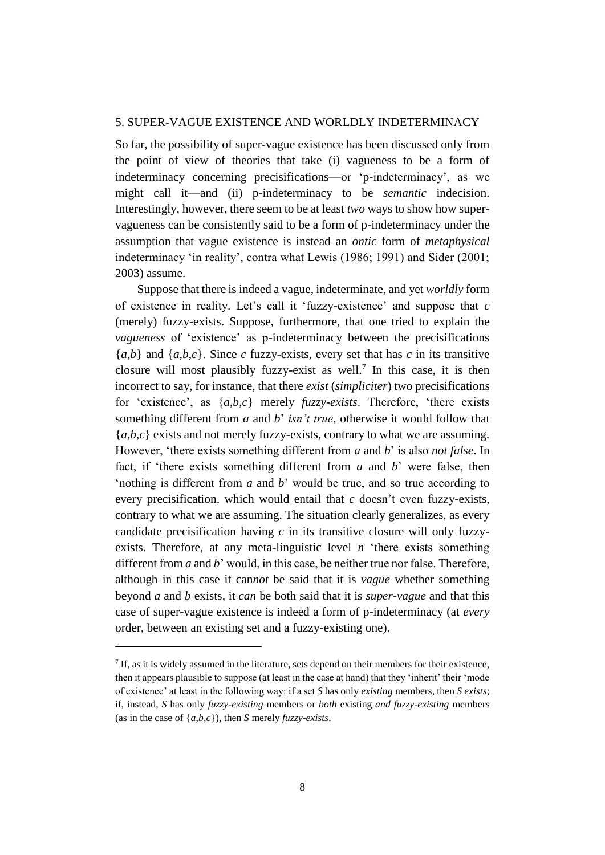### 5. SUPER-VAGUE EXISTENCE AND WORLDLY INDETERMINACY

So far, the possibility of super-vague existence has been discussed only from the point of view of theories that take (i) vagueness to be a form of indeterminacy concerning precisifications—or 'p-indeterminacy', as we might call it—and (ii) p-indeterminacy to be *semantic* indecision. Interestingly, however, there seem to be at least *two* ways to show how supervagueness can be consistently said to be a form of p-indeterminacy under the assumption that vague existence is instead an *ontic* form of *metaphysical* indeterminacy 'in reality', contra what Lewis (1986; 1991) and Sider (2001; 2003) assume.

Suppose that there is indeed a vague, indeterminate, and yet *worldly* form of existence in reality. Let's call it 'fuzzy-existence' and suppose that *c* (merely) fuzzy-exists. Suppose, furthermore, that one tried to explain the *vagueness* of 'existence' as p-indeterminacy between the precisifications  ${a,b}$  and  ${a,b,c}$ . Since *c* fuzzy-exists, every set that has *c* in its transitive closure will most plausibly fuzzy-exist as well.<sup>7</sup> In this case, it is then incorrect to say, for instance, that there *exist* (*simpliciter*) two precisifications for 'existence', as {*a*,*b*,*c*} merely *fuzzy-exists*. Therefore, 'there exists something different from *a* and *b*' *isn't true*, otherwise it would follow that  ${a,b,c}$  exists and not merely fuzzy-exists, contrary to what we are assuming. However, 'there exists something different from *a* and *b*' is also *not false*. In fact, if 'there exists something different from *a* and *b*' were false, then 'nothing is different from *a* and *b*' would be true, and so true according to every precisification, which would entail that *c* doesn't even fuzzy-exists, contrary to what we are assuming. The situation clearly generalizes, as every candidate precisification having *c* in its transitive closure will only fuzzyexists. Therefore, at any meta-linguistic level  $n$  'there exists something different from *a* and *b*' would, in this case, be neither true nor false. Therefore, although in this case it can*not* be said that it is *vague* whether something beyond *a* and *b* exists, it *can* be both said that it is *super-vague* and that this case of super-vague existence is indeed a form of p-indeterminacy (at *every* order, between an existing set and a fuzzy-existing one).

l

 $<sup>7</sup>$  If, as it is widely assumed in the literature, sets depend on their members for their existence,</sup> then it appears plausible to suppose (at least in the case at hand) that they 'inherit' their 'mode of existence' at least in the following way: if a set *S* has only *existing* members, then *S exists*; if, instead, *S* has only *fuzzy-existing* members or *both* existing *and fuzzy-existing* members (as in the case of {*a*,*b*,*c*}), then *S* merely *fuzzy-exists*.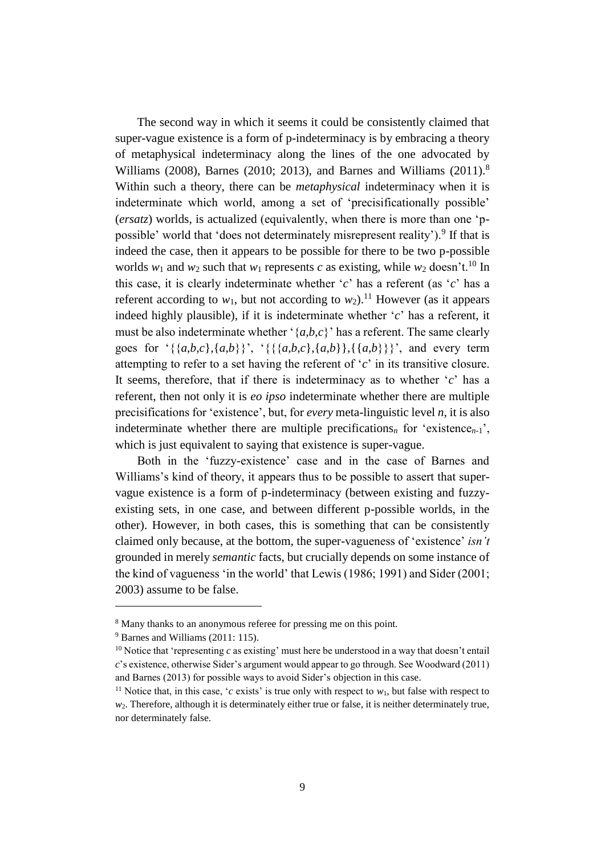The second way in which it seems it could be consistently claimed that super-vague existence is a form of p-indeterminacy is by embracing a theory of metaphysical indeterminacy along the lines of the one advocated by Williams (2008), Barnes (2010; 2013), and Barnes and Williams (2011).<sup>8</sup> Within such a theory, there can be *metaphysical* indeterminacy when it is indeterminate which world, among a set of 'precisificationally possible' (*ersatz*) worlds, is actualized (equivalently, when there is more than one 'ppossible' world that 'does not determinately misrepresent reality').<sup>9</sup> If that is indeed the case, then it appears to be possible for there to be two p-possible worlds  $w_1$  and  $w_2$  such that  $w_1$  represents *c* as existing, while  $w_2$  doesn't.<sup>10</sup> In this case, it is clearly indeterminate whether '*c*' has a referent (as '*c*' has a referent according to  $w_1$ , but not according to  $w_2$ ).<sup>11</sup> However (as it appears indeed highly plausible), if it is indeterminate whether '*c*' has a referent, it must be also indeterminate whether ' ${a,b,c}$ ' has a referent. The same clearly goes for '{{ $a,b,c$ },{ $a,b$ }}', '{{ $\{a,b,c\}$ ,{ $a,b$ }},{ $\{a,b\}$ }}', and every term attempting to refer to a set having the referent of  $\alpha$  in its transitive closure. It seems, therefore, that if there is indeterminacy as to whether '*c*' has a referent, then not only it is *eo ipso* indeterminate whether there are multiple precisifications for 'existence', but, for *every* meta-linguistic level *n*, it is also indeterminate whether there are multiple precifications<sub>n</sub> for 'existence<sub>n-1</sub>', which is just equivalent to saying that existence is super-vague.

Both in the 'fuzzy-existence' case and in the case of Barnes and Williams's kind of theory, it appears thus to be possible to assert that supervague existence is a form of p-indeterminacy (between existing and fuzzyexisting sets, in one case, and between different p-possible worlds, in the other). However, in both cases, this is something that can be consistently claimed only because, at the bottom, the super-vagueness of 'existence' *isn't* grounded in merely *semantic* facts, but crucially depends on some instance of the kind of vagueness 'in the world' that Lewis (1986; 1991) and Sider (2001; 2003) assume to be false.

 $\overline{\phantom{a}}$ 

<sup>&</sup>lt;sup>8</sup> Many thanks to an anonymous referee for pressing me on this point.

<sup>9</sup> Barnes and Williams (2011: 115).

<sup>&</sup>lt;sup>10</sup> Notice that 'representing  $c$  as existing' must here be understood in a way that doesn't entail *c*'s existence, otherwise Sider's argument would appear to go through. See Woodward (2011) and Barnes (2013) for possible ways to avoid Sider's objection in this case.

<sup>&</sup>lt;sup>11</sup> Notice that, in this case, '*c* exists' is true only with respect to  $w_1$ , but false with respect to  $w_2$ . Therefore, although it is determinately either true or false, it is neither determinately true, nor determinately false.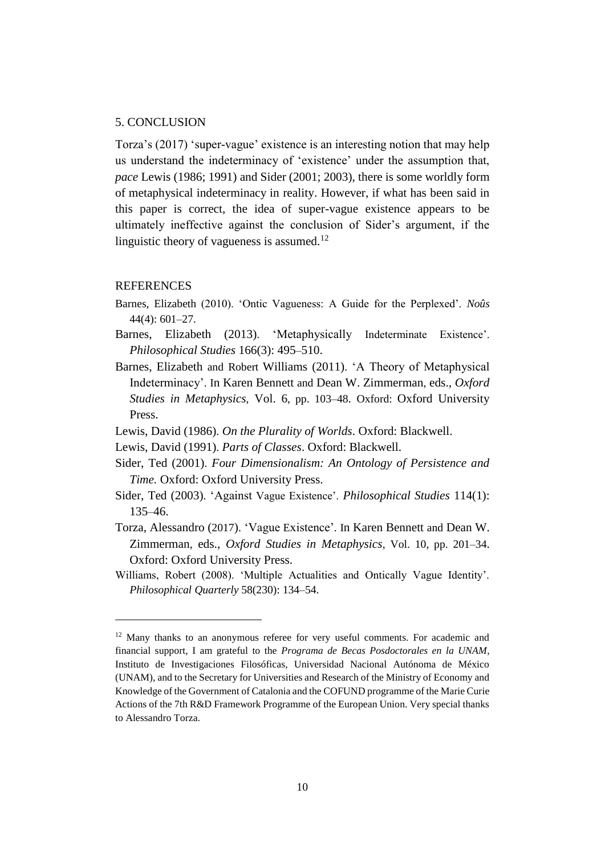### 5. CONCLUSION

Torza's (2017) 'super-vague' existence is an interesting notion that may help us understand the indeterminacy of 'existence' under the assumption that, *pace* Lewis (1986; 1991) and Sider (2001; 2003), there is some worldly form of metaphysical indeterminacy in reality. However, if what has been said in this paper is correct, the idea of super-vague existence appears to be ultimately ineffective against the conclusion of Sider's argument, if the linguistic theory of vagueness is assumed.<sup>12</sup>

#### **REFERENCES**

l

- Barnes, Elizabeth (2010). 'Ontic Vagueness: A Guide for the Perplexed'. *Noûs* 44(4): 601–27.
- Barnes, Elizabeth (2013). 'Metaphysically Indeterminate Existence'. *Philosophical Studies* 166(3): 495–510.
- Barnes, Elizabeth and Robert Williams (2011). 'A Theory of Metaphysical Indeterminacy'. In Karen Bennett and Dean W. Zimmerman, eds., *Oxford Studies in Metaphysics*, Vol. 6, pp. 103–48. Oxford: Oxford University Press.

Lewis, David (1986). *On the Plurality of Worlds*. Oxford: Blackwell.

- Lewis, David (1991). *Parts of Classes*. Oxford: Blackwell.
- Sider, Ted (2001). *Four Dimensionalism: An Ontology of Persistence and Time.* Oxford: Oxford University Press.
- Sider, Ted (2003). 'Against Vague Existence'. *Philosophical Studies* 114(1): 135–46.
- Torza, Alessandro (2017). 'Vague Existence'. In Karen Bennett and Dean W. Zimmerman, eds., *Oxford Studies in Metaphysics*, Vol. 10, pp. 201–34. Oxford: Oxford University Press.
- Williams, Robert (2008). 'Multiple Actualities and Ontically Vague Identity'. *Philosophical Quarterly* 58(230): 134–54.

<sup>&</sup>lt;sup>12</sup> Many thanks to an anonymous referee for very useful comments. For academic and financial support, I am grateful to the *Programa de Becas Posdoctorales en la UNAM*, Instituto de Investigaciones Filosóficas, Universidad Nacional Autónoma de México (UNAM), and to the Secretary for Universities and Research of the Ministry of Economy and Knowledge of the Government of Catalonia and the COFUND programme of the Marie Curie Actions of the 7th R&D Framework Programme of the European Union. Very special thanks to Alessandro Torza.